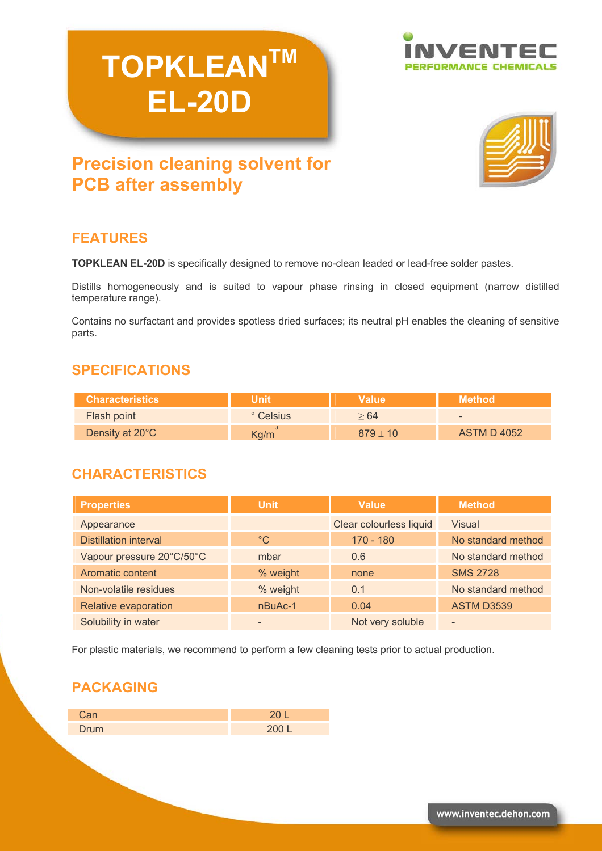# **TOPKLEANTM EL-20D**





# **Precision cleaning solvent for PCB after assembly**

# **FEATURES**

**TOPKLEAN EL-20D** is specifically designed to remove no-clean leaded or lead-free solder pastes.

Distills homogeneously and is suited to vapour phase rinsing in closed equipment (narrow distilled temperature range).

Contains no surfactant and provides spotless dried surfaces; its neutral pH enables the cleaning of sensitive parts.

### **SPECIFICATIONS**

| <b>Characteristics</b> | Unit      | <b>Value</b> | Method'            |
|------------------------|-----------|--------------|--------------------|
| <b>Flash point</b>     | ° Celsius | > 64         | $\sim$             |
| Density at 20°C        | Kg/m      | $879 + 10$   | <b>ASTM D 4052</b> |

# **CHARACTERISTICS**

| <b>Properties</b>            | <b>Unit</b>  | <b>Value</b>            | <b>Method</b>            |
|------------------------------|--------------|-------------------------|--------------------------|
| Appearance                   |              | Clear colourless liquid | Visual                   |
| <b>Distillation interval</b> | $^{\circ}$ C | $170 - 180$             | No standard method       |
| Vapour pressure 20°C/50°C    | mbar         | 0.6                     | No standard method       |
| Aromatic content             | % weight     | none                    | <b>SMS 2728</b>          |
| Non-volatile residues        | % weight     | 0.1                     | No standard method       |
| Relative evaporation         | $nBuAc-1$    | 0.04                    | <b>ASTM D3539</b>        |
| Solubility in water          |              | Not very soluble        | $\overline{\phantom{0}}$ |

For plastic materials, we recommend to perform a few cleaning tests prior to actual production.

# **PACKAGING**